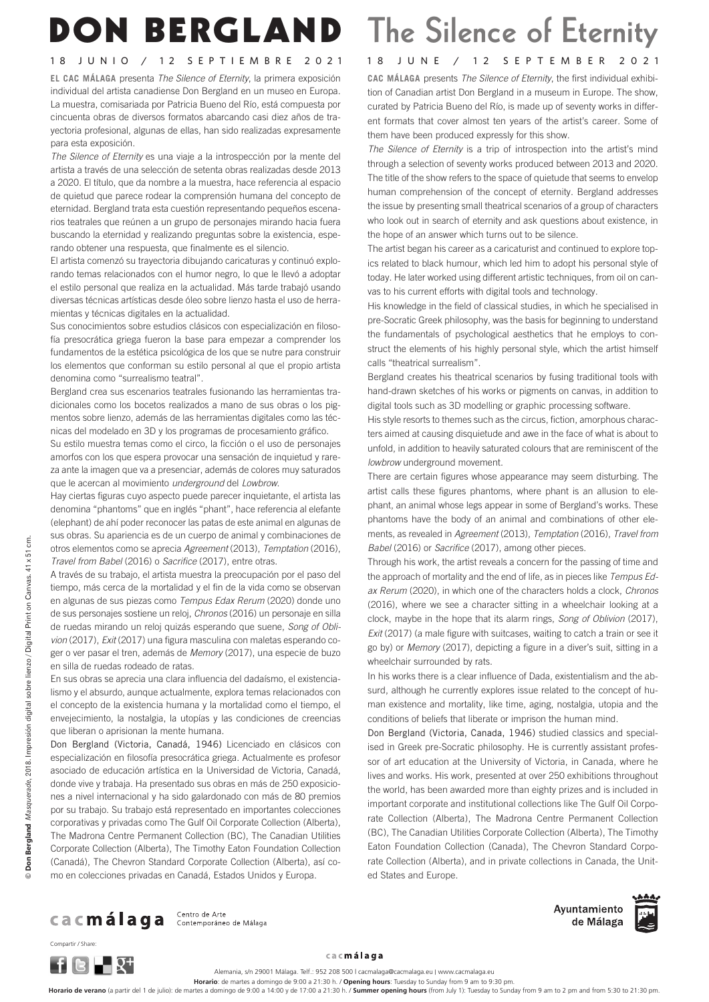## DON BERGLAND The Silence of Eternity

## 18 JUNIO / 12 SEPTIEMBRE 2021 18 JUNE / 12 SEPTEMBER 2021

**EL CAC MÁLAGA** presenta *The Silence of Eternity*, la primera exposición individual del artista canadiense Don Bergland en un museo en Europa. La muestra, comisariada por Patricia Bueno del Río, está compuesta por cincuenta obras de diversos formatos abarcando casi diez años de trayectoria profesional, algunas de ellas, han sido realizadas expresamente para esta exposición.

*The Silence of Eternity* es una viaje a la introspección por la mente del artista a través de una selección de setenta obras realizadas desde 2013 a 2020. El título, que da nombre a la muestra, hace referencia al espacio de quietud que parece rodear la comprensión humana del concepto de eternidad. Bergland trata esta cuestión representando pequeños escenarios teatrales que reúnen a un grupo de personajes mirando hacia fuera buscando la eternidad y realizando preguntas sobre la existencia, esperando obtener una respuesta, que finalmente es el silencio.

El artista comenzó su trayectoria dibujando caricaturas y continuó explorando temas relacionados con el humor negro, lo que le llevó a adoptar el estilo personal que realiza en la actualidad. Más tarde trabajó usando diversas técnicas artísticas desde óleo sobre lienzo hasta el uso de herramientas y técnicas digitales en la actualidad.

Sus conocimientos sobre estudios clásicos con especialización en filosofía presocrática griega fueron la base para empezar a comprender los fundamentos de la estética psicológica de los que se nutre para construir los elementos que conforman su estilo personal al que el propio artista denomina como "surrealismo teatral".

Bergland crea sus escenarios teatrales fusionando las herramientas tradicionales como los bocetos realizados a mano de sus obras o los pigmentos sobre lienzo, además de las herramientas digitales como las técnicas del modelado en 3D y los programas de procesamiento gráfico.

Su estilo muestra temas como el circo, la ficción o el uso de personajes amorfos con los que espera provocar una sensación de inquietud y rareza ante la imagen que va a presenciar, además de colores muy saturados que le acercan al movimiento *underground* del *Lowbrow*.

Hay ciertas figuras cuyo aspecto puede parecer inquietante, el artista las denomina "phantoms" que en inglés "phant", hace referencia al elefante (elephant) de ahí poder reconocer las patas de este animal en algunas de sus obras. Su apariencia es de un cuerpo de animal y combinaciones de otros elementos como se aprecia *Agreement* (2013), *Temptation* (2016), *Travel from Babel* (2016) o *Sacrifice* (2017), entre otras.

A través de su trabajo, el artista muestra la preocupación por el paso del tiempo, más cerca de la mortalidad y el fin de la vida como se observan en algunas de sus piezas como *Tempus Edax Rerum* (2020) donde uno de sus personajes sostiene un reloj, *Chronos* (2016) un personaje en silla de ruedas mirando un reloj quizás esperando que suene, *Song of Oblivion* (2017), *Exit* (2017) una figura masculina con maletas esperando coger o ver pasar el tren, además de *Memory* (2017), una especie de buzo en silla de ruedas rodeado de ratas.

En sus obras se aprecia una clara influencia del dadaísmo, el existencialismo y el absurdo, aunque actualmente, explora temas relacionados con el concepto de la existencia humana y la mortalidad como el tiempo, el envejecimiento, la nostalgia, la utopías y las condiciones de creencias que liberan o aprisionan la mente humana.

Don Bergland (Victoria, Canadá, 1946) Licenciado en clásicos con especialización en filosofía presocrática griega. Actualmente es profesor asociado de educación artística en la Universidad de Victoria, Canadá, donde vive y trabaja. Ha presentado sus obras en más de 250 exposiciones a nivel internacional y ha sido galardonado con más de 80 premios por su trabajo. Su trabajo está representado en importantes colecciones corporativas y privadas como The Gulf Oil Corporate Collection (Alberta), The Madrona Centre Permanent Collection (BC), The Canadian Utilities Corporate Collection (Alberta), The Timothy Eaton Foundation Collection (Canadá), The Chevron Standard Corporate Collection (Alberta), así como en colecciones privadas en Canadá, Estados Unidos y Europa.

**CAC MÁLAGA** presents *The Silence of Eternity*, the first individual exhibition of Canadian artist Don Bergland in a museum in Europe. The show, curated by Patricia Bueno del Río, is made up of seventy works in different formats that cover almost ten years of the artist's career. Some of them have been produced expressly for this show.

*The Silence of Eternity* is a trip of introspection into the artist's mind through a selection of seventy works produced between 2013 and 2020. The title of the show refers to the space of quietude that seems to envelop human comprehension of the concept of eternity. Bergland addresses the issue by presenting small theatrical scenarios of a group of characters who look out in search of eternity and ask questions about existence, in the hope of an answer which turns out to be silence.

The artist began his career as a caricaturist and continued to explore topics related to black humour, which led him to adopt his personal style of today. He later worked using different artistic techniques, from oil on canvas to his current efforts with digital tools and technology.

His knowledge in the field of classical studies, in which he specialised in pre-Socratic Greek philosophy, was the basis for beginning to understand the fundamentals of psychological aesthetics that he employs to construct the elements of his highly personal style, which the artist himself calls "theatrical surrealism".

Bergland creates his theatrical scenarios by fusing traditional tools with hand-drawn sketches of his works or pigments on canvas, in addition to digital tools such as 3D modelling or graphic processing software.

His style resorts to themes such as the circus, fiction, amorphous characters aimed at causing disquietude and awe in the face of what is about to unfold, in addition to heavily saturated colours that are reminiscent of the *lowbrow* underground movement.

There are certain figures whose appearance may seem disturbing. The artist calls these figures phantoms, where phant is an allusion to elephant, an animal whose legs appear in some of Bergland's works. These phantoms have the body of an animal and combinations of other elements, as revealed in *Agreement* (2013), *Temptation* (2016), *Travel from Babel* (2016) or *Sacrifice* (2017), among other pieces.

Through his work, the artist reveals a concern for the passing of time and the approach of mortality and the end of life, as in pieces like *Tempus Edax Rerum* (2020), in which one of the characters holds a clock, *Chronos* (2016), where we see a character sitting in a wheelchair looking at a clock, maybe in the hope that its alarm rings, *Song of Oblivion* (2017), *Exit* (2017) (a male figure with suitcases, waiting to catch a train or see it go by) or *Memory* (2017), depicting a figure in a diver's suit, sitting in a wheelchair surrounded by rats.

In his works there is a clear influence of Dada, existentialism and the absurd, although he currently explores issue related to the concept of human existence and mortality, like time, aging, nostalgia, utopia and the conditions of beliefs that liberate or imprison the human mind.

Don Bergland (Victoria, Canada, 1946) studied classics and specialised in Greek pre-Socratic philosophy. He is currently assistant professor of art education at the University of Victoria, in Canada, where he lives and works. His work, presented at over 250 exhibitions throughout the world, has been awarded more than eighty prizes and is included in important corporate and institutional collections like The Gulf Oil Corporate Collection (Alberta), The Madrona Centre Permanent Collection (BC), The Canadian Utilities Corporate Collection (Alberta), The Timothy Eaton Foundation Collection (Canada), The Chevron Standard Corporate Collection (Alberta), and in private collections in Canada, the United States and Europe.

Ca Cmálaga Contemporáneo de Málaga



Ayuntamiento de Málaga





Compartir / Share:

cacmálaga

Alemania, s/n 29001 Málaga. Telf.: 952 208 500 | cacmalaga@cacmalaga.eu | www.cacmalaga.eu

**Horario**: de martes a domingo de 9:00 a 21:30 h. / **Opening hours**: Tuesday to Sunday from 9 am to 9:30 pm.

**Horario de verano** (a partir del 1 de julio): de martes a domingo de 9:00 a 14:00 y de 17:00 a 21:30 h. / **Summer opening hours** (from July 1): Tuesday to Sunday from 9 am to 2 pm and from 5:30 to 21:30 pm.